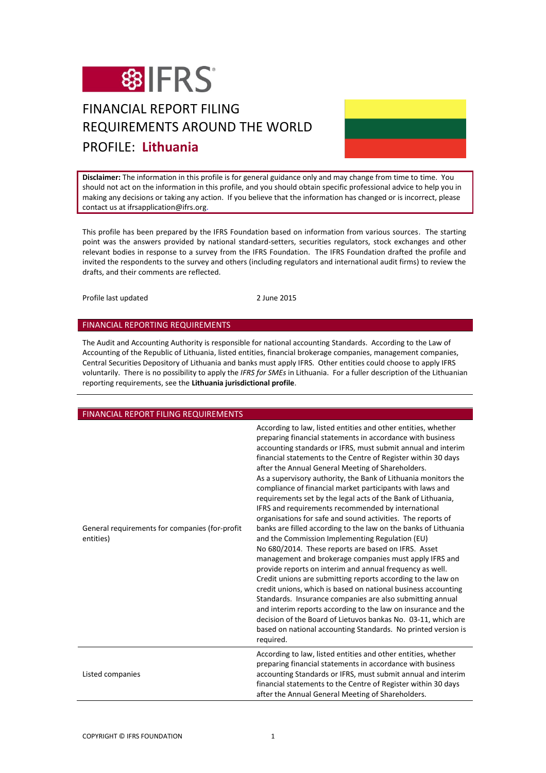

# FINANCIAL REPORT FILING REQUIREMENTS AROUND THE WORLD PROFILE: **Lithuania**

**Disclaimer:** The information in this profile is for general guidance only and may change from time to time. You should not act on the information in this profile, and you should obtain specific professional advice to help you in making any decisions or taking any action. If you believe that the information has changed or is incorrect, please contact us at ifrsapplication@ifrs.org.

This profile has been prepared by the IFRS Foundation based on information from various sources. The starting point was the answers provided by national standard-setters, securities regulators, stock exchanges and other relevant bodies in response to a survey from the IFRS Foundation. The IFRS Foundation drafted the profile and invited the respondents to the survey and others (including regulators and international audit firms) to review the drafts, and their comments are reflected.

Profile last updated 2 June 2015

#### FINANCIAL REPORTING REQUIREMENTS

The Audit and Accounting Authority is responsible for national accounting Standards. According to the Law of Accounting of the Republic of Lithuania, listed entities, financial brokerage companies, management companies, Central Securities Depository of Lithuania and banks must apply IFRS. Other entities could choose to apply IFRS voluntarily. There is no possibility to apply the *IFRS for SMEs* in Lithuania. For a fuller description of the Lithuanian reporting requirements, see the **Lithuania jurisdictional profile**.

| FINANCIAL REPORT FILING REQUIREMENTS                        |                                                                                                                                                                                                                                                                                                                                                                                                                                                                                                                                                                                                                                                                                                                                                                                                                                                                                                                                                                                                                                                                                                                                                                                                                                                                                                                                                        |
|-------------------------------------------------------------|--------------------------------------------------------------------------------------------------------------------------------------------------------------------------------------------------------------------------------------------------------------------------------------------------------------------------------------------------------------------------------------------------------------------------------------------------------------------------------------------------------------------------------------------------------------------------------------------------------------------------------------------------------------------------------------------------------------------------------------------------------------------------------------------------------------------------------------------------------------------------------------------------------------------------------------------------------------------------------------------------------------------------------------------------------------------------------------------------------------------------------------------------------------------------------------------------------------------------------------------------------------------------------------------------------------------------------------------------------|
| General requirements for companies (for-profit<br>entities) | According to law, listed entities and other entities, whether<br>preparing financial statements in accordance with business<br>accounting standards or IFRS, must submit annual and interim<br>financial statements to the Centre of Register within 30 days<br>after the Annual General Meeting of Shareholders.<br>As a supervisory authority, the Bank of Lithuania monitors the<br>compliance of financial market participants with laws and<br>requirements set by the legal acts of the Bank of Lithuania,<br>IFRS and requirements recommended by international<br>organisations for safe and sound activities. The reports of<br>banks are filled according to the law on the banks of Lithuania<br>and the Commission Implementing Regulation (EU)<br>No 680/2014. These reports are based on IFRS. Asset<br>management and brokerage companies must apply IFRS and<br>provide reports on interim and annual frequency as well.<br>Credit unions are submitting reports according to the law on<br>credit unions, which is based on national business accounting<br>Standards. Insurance companies are also submitting annual<br>and interim reports according to the law on insurance and the<br>decision of the Board of Lietuvos bankas No. 03-11, which are<br>based on national accounting Standards. No printed version is<br>required. |
| Listed companies                                            | According to law, listed entities and other entities, whether<br>preparing financial statements in accordance with business<br>accounting Standards or IFRS, must submit annual and interim<br>financial statements to the Centre of Register within 30 days<br>after the Annual General Meeting of Shareholders.                                                                                                                                                                                                                                                                                                                                                                                                                                                                                                                                                                                                                                                                                                                                                                                                                                                                                                                                                                                                                                      |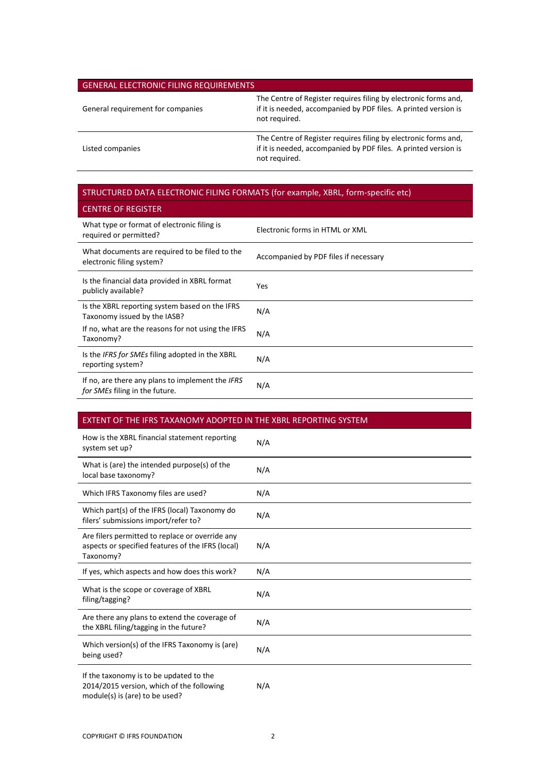## GENERAL ELECTRONIC FILING REQUIREMENTS

OF BECISTER

| General requirement for companies | The Centre of Register requires filing by electronic forms and,<br>if it is needed, accompanied by PDF files. A printed version is<br>not required. |
|-----------------------------------|-----------------------------------------------------------------------------------------------------------------------------------------------------|
| Listed companies                  | The Centre of Register requires filing by electronic forms and,<br>if it is needed, accompanied by PDF files. A printed version is<br>not required. |

## STRUCTURED DATA ELECTRONIC FILING FORMATS (for example, XBRL, form-specific etc)

| <b>UENTRE OF REGISTER</b>                                                          |                                       |
|------------------------------------------------------------------------------------|---------------------------------------|
| What type or format of electronic filing is<br>required or permitted?              | Electronic forms in HTML or XML       |
| What documents are required to be filed to the<br>electronic filing system?        | Accompanied by PDF files if necessary |
| Is the financial data provided in XBRL format<br>publicly available?               | Yes                                   |
| Is the XBRL reporting system based on the IFRS<br>Taxonomy issued by the IASB?     | N/A                                   |
| If no, what are the reasons for not using the IFRS<br>Taxonomy?                    | N/A                                   |
| Is the IFRS for SMEs filing adopted in the XBRL<br>reporting system?               | N/A                                   |
| If no, are there any plans to implement the IFRS<br>for SMEs filing in the future. | N/A                                   |

## EXTENT OF THE IFRS TAXANOMY ADOPTED IN THE XBRL REPORTING SYSTEM

| How is the XBRL financial statement reporting<br>system set up?                                                        | N/A |
|------------------------------------------------------------------------------------------------------------------------|-----|
| What is (are) the intended purpose(s) of the<br>local base taxonomy?                                                   | N/A |
| Which IFRS Taxonomy files are used?                                                                                    | N/A |
| Which part(s) of the IFRS (local) Taxonomy do<br>filers' submissions import/refer to?                                  | N/A |
| Are filers permitted to replace or override any<br>aspects or specified features of the IFRS (local)<br>Taxonomy?      | N/A |
| If yes, which aspects and how does this work?                                                                          | N/A |
| What is the scope or coverage of XBRL<br>filing/tagging?                                                               | N/A |
| Are there any plans to extend the coverage of<br>the XBRL filing/tagging in the future?                                | N/A |
| Which version(s) of the IFRS Taxonomy is (are)<br>being used?                                                          | N/A |
| If the taxonomy is to be updated to the<br>2014/2015 version, which of the following<br>module(s) is (are) to be used? | N/A |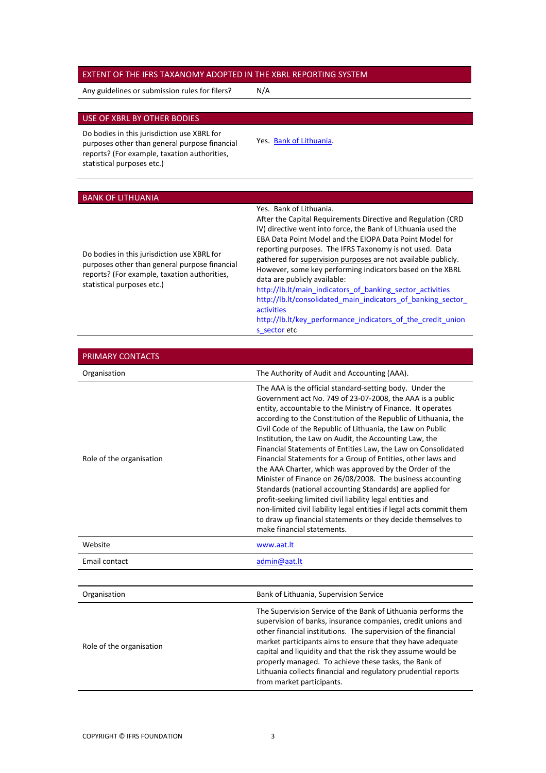#### EXTENT OF THE IFRS TAXANOMY ADOPTED IN THE XBRL REPORTING SYSTEM

Any guidelines or submission rules for filers? N/A

### USE OF XBRL BY OTHER BODIES

Do bodies in this jurisdiction use XBRL for purposes other than general purpose financial reports? (For example, taxation authorities, statistical purposes etc.)

Yes. [Bank of Lithuania.](#page-2-0)

#### <span id="page-2-0"></span>BANK OF LITHUANIA

#### Yes. Bank of Lithuania.

Do bodies in this jurisdiction use XBRL for purposes other than general purpose financial reports? (For example, taxation authorities, statistical purposes etc.)

After the Capital Requirements Directive and Regulation (CRD IV) directive went into force, the Bank of Lithuania used the EBA Data Point Model and the EIOPA Data Point Model for reporting purposes. The IFRS Taxonomy is not used. Data gathered for supervision purposes are not available publicly. However, some key performing indicators based on the XBRL data are publicly available:

[http://lb.lt/main\\_indicators\\_of\\_banking\\_sector\\_activities](http://lb.lt/main_indicators_of_banking_sector_activities) [http://lb.lt/consolidated\\_main\\_indicators\\_of\\_banking\\_sector\\_](http://lb.lt/consolidated_main_indicators_of_banking_sector_activities) [activities](http://lb.lt/consolidated_main_indicators_of_banking_sector_activities)

[http://lb.lt/key\\_performance\\_indicators\\_of\\_the\\_credit\\_union](http://lb.lt/key_performance_indicators_of_the_credit_unions_sector) s sector etc

| PRIMARY CONTACTS         |                                                                                                                                                                                                                                                                                                                                                                                                                                                                                                                                                                                                                                                                                                                                                                                                                                                                                                                                           |
|--------------------------|-------------------------------------------------------------------------------------------------------------------------------------------------------------------------------------------------------------------------------------------------------------------------------------------------------------------------------------------------------------------------------------------------------------------------------------------------------------------------------------------------------------------------------------------------------------------------------------------------------------------------------------------------------------------------------------------------------------------------------------------------------------------------------------------------------------------------------------------------------------------------------------------------------------------------------------------|
| Organisation             | The Authority of Audit and Accounting (AAA).                                                                                                                                                                                                                                                                                                                                                                                                                                                                                                                                                                                                                                                                                                                                                                                                                                                                                              |
| Role of the organisation | The AAA is the official standard-setting body. Under the<br>Government act No. 749 of 23-07-2008, the AAA is a public<br>entity, accountable to the Ministry of Finance. It operates<br>according to the Constitution of the Republic of Lithuania, the<br>Civil Code of the Republic of Lithuania, the Law on Public<br>Institution, the Law on Audit, the Accounting Law, the<br>Financial Statements of Entities Law, the Law on Consolidated<br>Financial Statements for a Group of Entities, other laws and<br>the AAA Charter, which was approved by the Order of the<br>Minister of Finance on 26/08/2008. The business accounting<br>Standards (national accounting Standards) are applied for<br>profit-seeking limited civil liability legal entities and<br>non-limited civil liability legal entities if legal acts commit them<br>to draw up financial statements or they decide themselves to<br>make financial statements. |
| Website                  | www.aat.lt                                                                                                                                                                                                                                                                                                                                                                                                                                                                                                                                                                                                                                                                                                                                                                                                                                                                                                                                |
| Email contact            | admin@aat.lt                                                                                                                                                                                                                                                                                                                                                                                                                                                                                                                                                                                                                                                                                                                                                                                                                                                                                                                              |
|                          |                                                                                                                                                                                                                                                                                                                                                                                                                                                                                                                                                                                                                                                                                                                                                                                                                                                                                                                                           |
| Organisation             | Bank of Lithuania, Supervision Service                                                                                                                                                                                                                                                                                                                                                                                                                                                                                                                                                                                                                                                                                                                                                                                                                                                                                                    |
| Role of the organisation | The Supervision Service of the Bank of Lithuania performs the<br>supervision of banks, insurance companies, credit unions and<br>other financial institutions. The supervision of the financial<br>market participants aims to ensure that they have adequate<br>capital and liquidity and that the risk they assume would be<br>properly managed. To achieve these tasks, the Bank of<br>Lithuania collects financial and regulatory prudential reports<br>from market participants.                                                                                                                                                                                                                                                                                                                                                                                                                                                     |